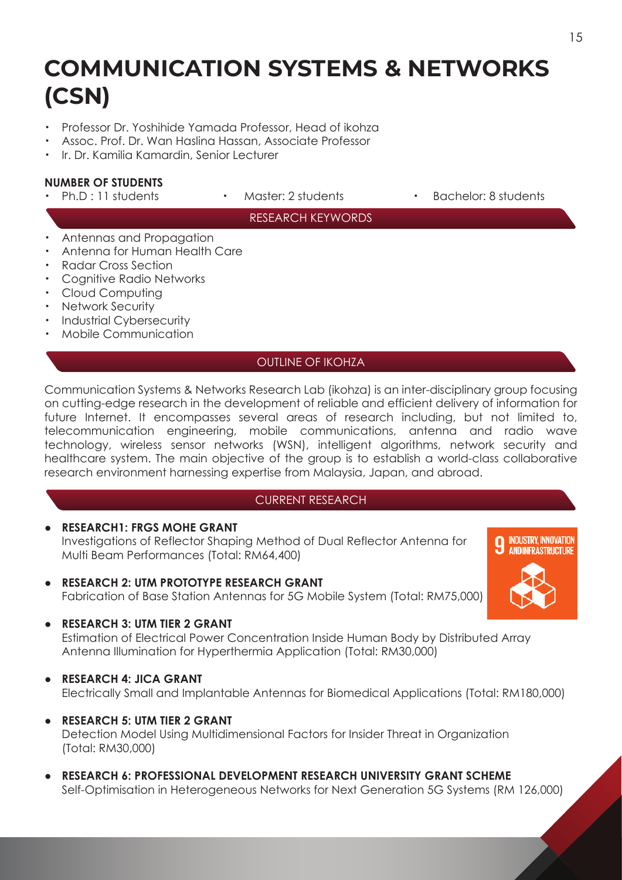# **COMMUNICATION SYSTEMS & NETWORKS (CSN)**

- ・ Professor Dr. Yoshihide Yamada Professor, Head of ikohza
- ・ Assoc. Prof. Dr. Wan Haslina Hassan, Associate Professor
- ・ Ir. Dr. Kamilia Kamardin, Senior Lecturer

# **NUMBER OF STUDENTS**

- 
- 
- Ph.D : 11 students Master: 2 students Bachelor: 8 students

### RESEARCH KEYWORDS

- Antennas and Propagation
- ・ Antenna for Human Health Care
- Radar Cross Section
- **Cognitive Radio Networks**
- ・ Cloud Computing
- ・ Network Security
- Industrial Cybersecurity
- Mobile Communication

## OUTLINE OF IKOHZA

Communication Systems & Networks Research Lab (ikohza) is an inter-disciplinary group focusing on cutting-edge research in the development of reliable and efficient delivery of information for future Internet. It encompasses several areas of research including, but not limited to, telecommunication engineering, mobile communications, antenna and radio wave technology, wireless sensor networks (WSN), intelligent algorithms, network security and healthcare system. The main objective of the group is to establish a world-class collaborative research environment harnessing expertise from Malaysia, Japan, and abroad.

### CURRENT RESEARCH

- **RESEARCH1: FRGS MOHE GRANT** Investigations of Reflector Shaping Method of Dual Reflector Antenna for Multi Beam Performances (Total: RM64,400)
- **RESEARCH 2: UTM PROTOTYPE RESEARCH GRANT** Fabrication of Base Station Antennas for 5G Mobile System (Total: RM75,000)
- **RESEARCH 3: UTM TIER 2 GRANT**

 Estimation of Electrical Power Concentration Inside Human Body by Distributed Array Antenna Illumination for Hyperthermia Application (Total: RM30,000)

### **● RESEARCH 4: JICA GRANT**

Electrically Small and Implantable Antennas for Biomedical Applications (Total: RM180,000)

- **RESEARCH 5: UTM TIER 2 GRANT** Detection Model Using Multidimensional Factors for Insider Threat in Organization (Total: RM30,000)
- **RESEARCH 6: PROFESSIONAL DEVELOPMENT RESEARCH UNIVERSITY GRANT SCHEME**  Self-Optimisation in Heterogeneous Networks for Next Generation 5G Systems (RM 126,000)